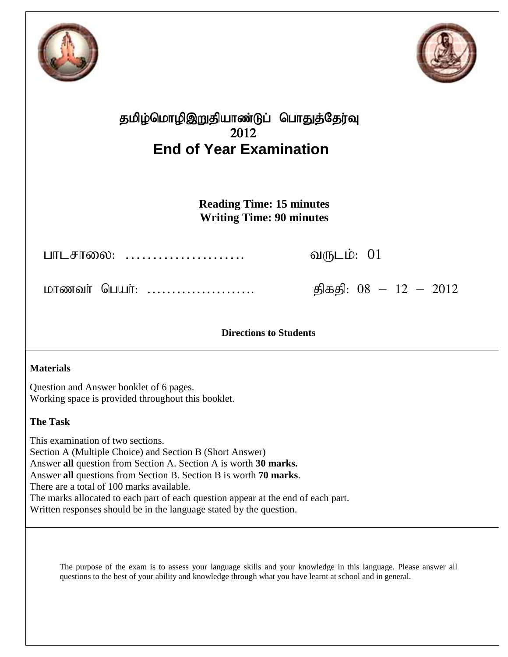



# தமிழ்மொழிஇறுதியாண்டுப் பொதுத்தேர்வு 2012 **End of Year Examination**

**Reading Time: 15 minutes Writing Time: 90 minutes**

ghlrhiy: …………………. tUlk;: 01

மாணவர் பெயர்: ………………………. திகதி: 08 – 12 – 2012

**Directions to Students**

### **Materials**

Question and Answer booklet of 6 pages. Working space is provided throughout this booklet.

### **The Task**

This examination of two sections. Section A (Multiple Choice) and Section B (Short Answer) Answer **all** question from Section A. Section A is worth **30 marks.** Answer **all** questions from Section B. Section B is worth **70 marks**. There are a total of 100 marks available. The marks allocated to each part of each question appear at the end of each part. Written responses should be in the language stated by the question.

The purpose of the exam is to assess your language skills and your knowledge in this language. Please answer all questions to the best of your ability and knowledge through what you have learnt at school and in general.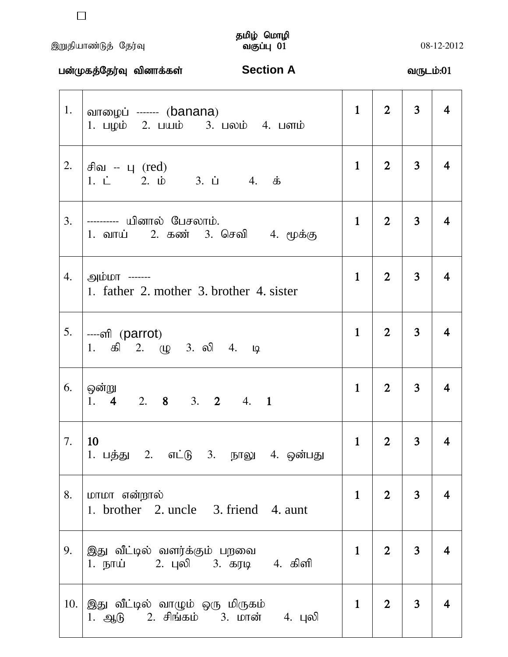# ,Wjpahz;Lj; Nju;T tFg;G 01 08-12-2012

# தமிழ் மொழி<br>வகுப்பு 01

|     | பன்முகத்தேர்வு வினாக்கள் Machin A                                                 |              |                | வருடம்:01      |                |
|-----|-----------------------------------------------------------------------------------|--------------|----------------|----------------|----------------|
| 1.  | வாழைப் ------- (banana)<br>1. பழம் 2. பயம் 3. பலம் 4. பளம்                        | $\mathbf{1}$ | 2 <sup>1</sup> | 3 <sup>1</sup> | 4              |
| 2.  | சிவ -- பு $(\text{red})$<br>1. $\dot{L}$ 2. $\dot{D}$ 3. $\dot{L}$ 4. $\dot{B}$   | $\mathbf{1}$ | 2 <sup>1</sup> | 3 <sup>7</sup> | $\overline{4}$ |
| 3.  | ---------- யினால் பேசலாம்.<br>1. வாய் 2. கண் 3. செவி 4. மூக்கு                    | $\mathbf{1}$ | 2 <sup>1</sup> | 3 <sup>1</sup> | 4              |
| 4.  | <u>அம்மா</u> -------<br>1. father 2. mother 3. brother 4. sister                  | $\mathbf{1}$ | 2 <sup>1</sup> | 3 <sup>1</sup> | 4              |
| 5.  | ----ണി (parrot)<br>1. கி 2. ழு 3. லி 4. டி                                        | $\mathbf{1}$ | $\overline{2}$ | 3 <sup>1</sup> | 4              |
| 6.  | ஒன்று<br>2. 8 3. 2<br>4. 1<br>1.4                                                 | $\mathbf{1}$ | 2 <sup>1</sup> | 3 <sup>1</sup> | 4              |
| 7.  | 10<br>1. பத்து 2. எட்டு 3. நாலு 4. ஒன்பது                                         | $\mathbf{1}$ | $\overline{2}$ | 3              | 4              |
| 8.  | மாமா என்றால்<br>1. brother 2. uncle 3. friend 4. aunt                             | $\mathbf{1}$ | 2 <sup>1</sup> | 3 <sup>1</sup> | 4              |
| 9.  | இது வீட்டில் வளர்க்கும் பறவை<br>1. நாய்        2. புலி      3. கரடி      4.  கிளி | $\mathbf{1}$ | 2 <sup>1</sup> | 3 <sup>1</sup> |                |
| 10. | இது வீட்டில் வாழும் ஒரு மிருகம்<br>1. ஆடு 2. சிங்கம் 3. மான் 4. புலி              | $\mathbf{1}$ | 2 <sup>1</sup> | 3 <sup>1</sup> |                |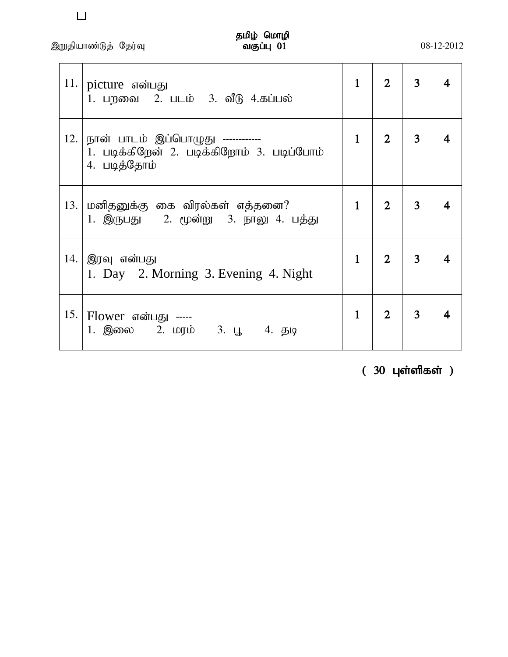,Wjpahz;Lj; Nju;T tFg;G 01 08-12-2012

 $\Box$ 

| 11. | picture என்பது<br>1. பறவை 2. படம் 3. வீடு 4.கப்பல்                                              | $\mathbf{1}$ |                | 3 |  |
|-----|-------------------------------------------------------------------------------------------------|--------------|----------------|---|--|
| 12. | நான் பாடம் இப்பொழுது ------------<br>1. படிக்கிறேன் 2. படிக்கிறோம் 3. படிப்போம்<br>4. படித்தோம் | $\mathbf{1}$ | $\overline{2}$ | 3 |  |
| 13. | மனிதனுக்கு கை விரல்கள் எத்தனை?<br>1. இருபது    2. மூன்று   3. நாலு 4. பத்து                     | $\mathbf{1}$ | $\overline{2}$ | 3 |  |
| 14. | இரவு என்பது<br>1. Day 2. Morning 3. Evening 4. Night                                            | $\mathbf{1}$ | $\overline{2}$ | 3 |  |
|     | 15.   Flower என்பது -----<br>1. இலை 2. மரம் 3. பூ 4. தடி                                        | $\mathbf{1}$ | $\overline{2}$ | 3 |  |

 $(30 \; \mu \text{sin} \; \text{sin} \; \text{sin} \; \text{cos} \; \text{cos} \; \text{cos} \; \text{cos} \; \text{cos} \; \text{cos} \; \text{cos} \; \text{cos} \; \text{cos} \; \text{cos} \; \text{cos} \; \text{cos} \; \text{cos} \; \text{cos} \; \text{cos} \; \text{cos} \; \text{cos} \; \text{cos} \; \text{cos} \; \text{cos} \; \text{cos} \; \text{cos} \; \text{cos} \; \text{cos} \; \text{cos} \; \text{cos} \; \text{cos} \; \text$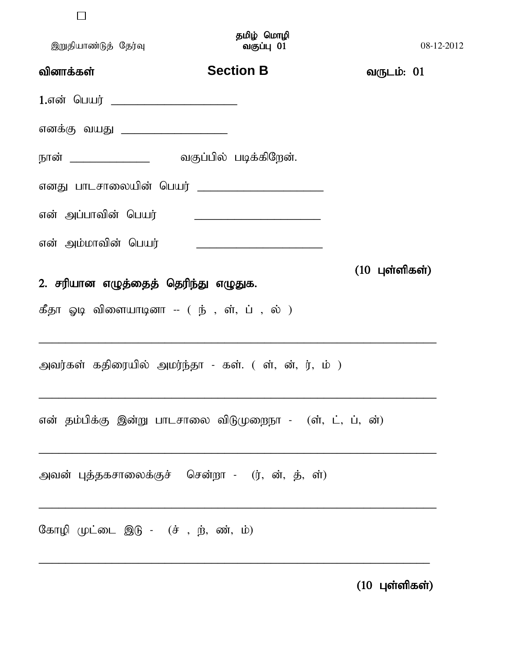|                      | தமிழ் மொழி |            |
|----------------------|------------|------------|
| இறுதியாண்டுத் தேர்வு | வகுப்பு 01 | 08-12-2012 |

| வினாக்கள்                                                                                      | <b>Section B</b> | வருடம்: 01               |
|------------------------------------------------------------------------------------------------|------------------|--------------------------|
|                                                                                                |                  |                          |
| எனக்கு வயது ____________________                                                               |                  |                          |
|                                                                                                |                  |                          |
| எனது பாடசாலையின் பெயர் _______________________                                                 |                  |                          |
| என் அப்பாவின் பெயர்                                                                            |                  |                          |
| என் அம்மாவின் பெயர்                                                                            |                  |                          |
| 2. சரியான எழுத்தைத் தெரிந்து எழுதுக.<br>கீதா ஓடி விளையாடினா -- ( ந் , ள், ப் , ல் )            |                  | $(10 \text{ L}$ ள்ளிகள்) |
| அவர்கள் கதிரையில் அமர்ந்தா - கள். ( ள், ன், ர், ம் )                                           |                  |                          |
| என் தம்பிக்கு இன்று பாடசாலை விடுமுறைநா - (ள், ட், ப், ன்)                                      |                  |                          |
| அவன் புத்தகசாலைக்குச் சென்றா - (ர், ன், த், ள்)                                                |                  |                          |
| கோழி முட்டை இடு - $(\dot{\sigma}, \dot{\mathfrak{g}}, \dot{\mathfrak{m}}, \dot{\mathfrak{w}})$ |                  |                          |

 $(10 \; \mu)$ ள்ளிகள்)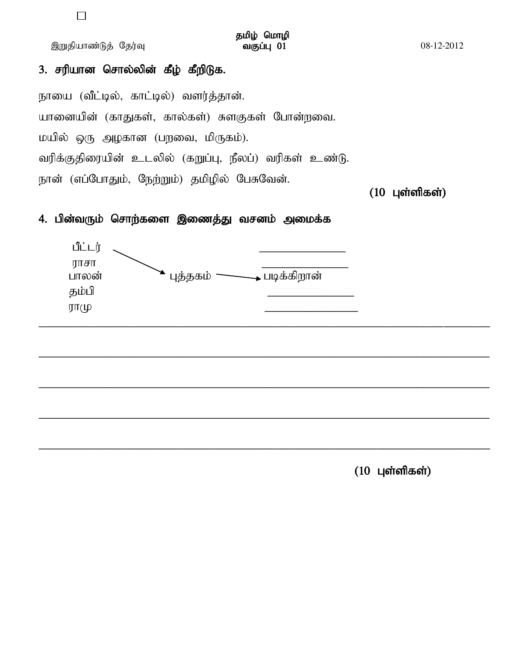இறுதியாண்டுத் தேர்வு

தமிழ் மொழி வகுப்பு 01

# 3. சரியான சொல்லின் கீழ் கீறிடுக.

நாயை (வீட்டில், காட்டில்) வளர்த்தான். யானையின் (காதுகள், கால்கள்) சுளகுகள் போன்றவை. மயில் ஒரு அழகான (பறவை, மிருகம்). வரிக்குதிரையின் உடலில் (கறுப்பு, நீலப்) வரிகள் உண்டு. நான் (எப்போதும், நேற்றும்) தமிழில் பேசுவேன்.

### $(10 \text{ L}$ ள்ளிகள்)

### 4. பின்வரும் சொற்களை இணைத்து வசனம் அமைக்க



 $(10 \text{ L}$ ள்ளிகள்)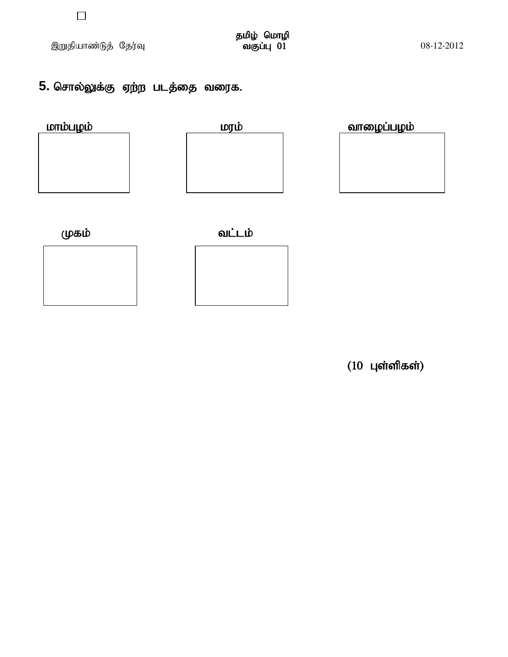$\Box$ 

# 5. சொல்லுக்கு ஏற்ற படத்தை வரைக.





 $\overline{\phantom{a}}$ 

(10 புள்ளிகள்)